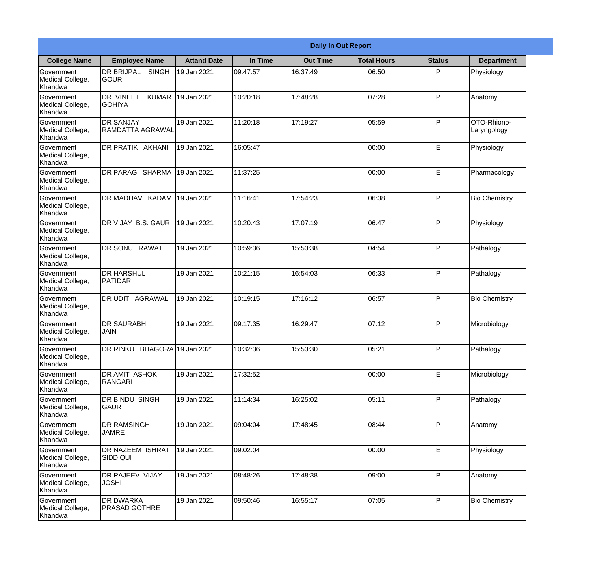|                                                  |                                            |                    |          | <b>Daily In Out Report</b> |                    |               |                            |
|--------------------------------------------------|--------------------------------------------|--------------------|----------|----------------------------|--------------------|---------------|----------------------------|
| <b>College Name</b>                              | <b>Employee Name</b>                       | <b>Attand Date</b> | In Time  | <b>Out Time</b>            | <b>Total Hours</b> | <b>Status</b> | <b>Department</b>          |
| Government<br>Medical College,<br>Khandwa        | DR BRIJPAL<br><b>SINGH</b><br><b>GOUR</b>  | 19 Jan 2021        | 09:47:57 | 16:37:49                   | 06:50              | P             | Physiology                 |
| Government<br>Medical College,<br>Khandwa        | DR VINEET<br><b>KUMAR</b><br><b>GOHIYA</b> | 19 Jan 2021        | 10:20:18 | 17:48:28                   | 07:28              | P             | Anatomy                    |
| <b>Government</b><br>Medical College,<br>Khandwa | <b>DR SANJAY</b><br>RAMDATTA AGRAWAL       | 19 Jan 2021        | 11:20:18 | 17:19:27                   | 05:59              | P             | OTO-Rhiono-<br>Laryngology |
| Government<br>Medical College,<br>Khandwa        | DR PRATIK AKHANI                           | 19 Jan 2021        | 16:05:47 |                            | 00:00              | E             | Physiology                 |
| Government<br>Medical College,<br>Khandwa        | DR PARAG SHARMA                            | 19 Jan 2021        | 11:37:25 |                            | 00:00              | E             | Pharmacology               |
| Government<br>Medical College,<br>Khandwa        | DR MADHAV KADAM                            | 19 Jan 2021        | 11:16:41 | 17:54:23                   | 06:38              | P             | <b>Bio Chemistry</b>       |
| Government<br>Medical College,<br>Khandwa        | DR VIJAY B.S. GAUR                         | 19 Jan 2021        | 10:20:43 | 17:07:19                   | 06:47              | P             | Physiology                 |
| Government<br>Medical College,<br>Khandwa        | DR SONU RAWAT                              | 19 Jan 2021        | 10:59:36 | 15:53:38                   | 04:54              | P             | Pathalogy                  |
| Government<br>Medical College,<br>Khandwa        | <b>I</b> DR HARSHUL<br><b>PATIDAR</b>      | 19 Jan 2021        | 10:21:15 | 16:54:03                   | 06:33              | P             | Pathalogy                  |
| Government<br>Medical College,<br>Khandwa        | DR UDIT<br><b>AGRAWAL</b>                  | 19 Jan 2021        | 10:19:15 | 17:16:12                   | 06:57              | P             | <b>Bio Chemistry</b>       |
| Government<br>Medical College,<br>Khandwa        | <b>DR SAURABH</b><br><b>JAIN</b>           | 19 Jan 2021        | 09:17:35 | 16:29:47                   | 07:12              | $\mathsf{P}$  | Microbiology               |
| Government<br>Medical College,<br>Khandwa        | DR RINKU BHAGORA 19 Jan 2021               |                    | 10:32:36 | 15:53:30                   | 05:21              | P             | Pathalogy                  |
| Government<br>Medical College,<br>Khandwa        | <b>DR AMIT ASHOK</b><br>RANGARI            | 19 Jan 2021        | 17:32:52 |                            | 00:00              | E             | Microbiology               |
| Government<br>Medical College,<br>Khandwa        | DR BINDU SINGH<br><b>GAUR</b>              | 19 Jan 2021        | 11:14:34 | 16:25:02                   | 05:11              | P             | Pathalogy                  |
| Government<br>Medical College,<br>Khandwa        | <b>DR RAMSINGH</b><br><b>JAMRE</b>         | 19 Jan 2021        | 09:04:04 | 17:48:45                   | 08:44              | P             | Anatomy                    |
| Government<br>Medical College,<br>Khandwa        | DR NAZEEM ISHRAT<br><b>SIDDIQUI</b>        | 19 Jan 2021        | 09:02:04 |                            | 00:00              | E             | Physiology                 |
| Government<br>Medical College,<br>Khandwa        | DR RAJEEV VIJAY<br><b>JOSHI</b>            | 19 Jan 2021        | 08:48:26 | 17:48:38                   | 09:00              | P             | Anatomy                    |
| Government<br>Medical College,<br>Khandwa        | <b>DR DWARKA</b><br><b>PRASAD GOTHRE</b>   | 19 Jan 2021        | 09:50:46 | 16:55:17                   | 07:05              | P             | <b>Bio Chemistry</b>       |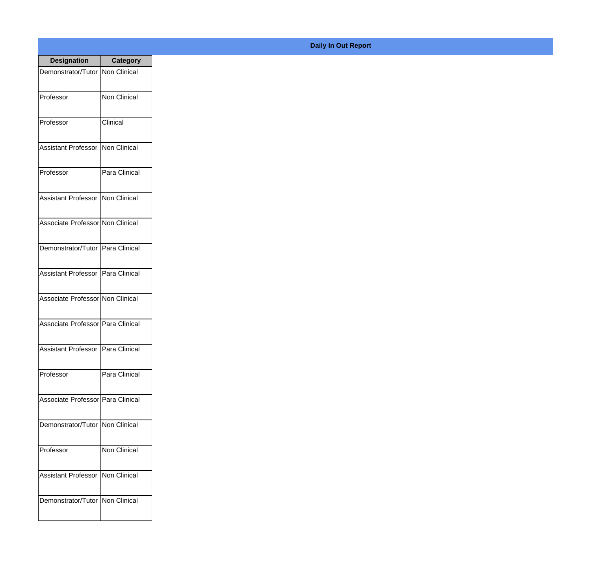| <b>Designation</b>                  | <b>Category</b> |
|-------------------------------------|-----------------|
| Demonstrator/Tutor   Non Clinical   |                 |
| Professor                           | Non Clinical    |
| Professor                           | Clinical        |
| <b>Assistant Professor</b>          | Non Clinical    |
| Professor                           | Para Clinical   |
| Assistant Professor   Non Clinical  |                 |
| Associate Professor Non Clinical    |                 |
| Demonstrator/Tutor   Para Clinical  |                 |
| Assistant Professor   Para Clinical |                 |
| Associate Professor Non Clinical    |                 |
| Associate Professor Para Clinical   |                 |
| Assistant Professor   Para Clinical |                 |
| Professor                           | Para Clinical   |
| Associate Professor   Para Clinical |                 |
| Demonstrator/Tutor   Non Clinical   |                 |
| Professor                           | Non Clinical    |
| <b>Assistant Professor</b>          | Non Clinical    |
| Demonstrator/Tutor   Non Clinical   |                 |

## **Daily In Out Report**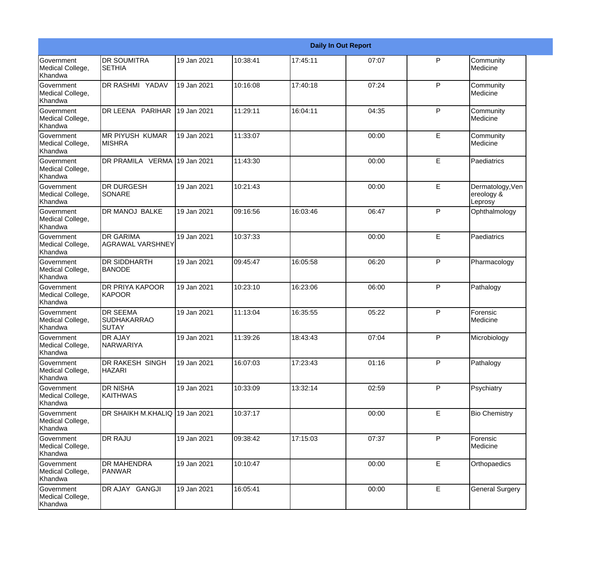|                                                  |                                                       |             |          |          | <b>Daily In Out Report</b> |              |                                           |
|--------------------------------------------------|-------------------------------------------------------|-------------|----------|----------|----------------------------|--------------|-------------------------------------------|
| <b>Government</b><br>Medical College,<br>Khandwa | <b>DR SOUMITRA</b><br><b>SETHIA</b>                   | 19 Jan 2021 | 10:38:41 | 17:45:11 | 07:07                      | P            | Community<br>Medicine                     |
| <b>Government</b><br>Medical College,<br>Khandwa | DR RASHMI YADAV                                       | 19 Jan 2021 | 10:16:08 | 17:40:18 | 07:24                      | $\mathsf{P}$ | Community<br>Medicine                     |
| <b>Government</b><br>Medical College,<br>Khandwa | DR LEENA PARIHAR                                      | 19 Jan 2021 | 11:29:11 | 16:04:11 | 04:35                      | P            | Community<br>Medicine                     |
| <b>Government</b><br>Medical College,<br>Khandwa | <b>MR PIYUSH KUMAR</b><br><b>MISHRA</b>               | 19 Jan 2021 | 11:33:07 |          | 00:00                      | E            | Community<br>Medicine                     |
| Government<br>Medical College,<br>Khandwa        | DR PRAMILA VERMA 19 Jan 2021                          |             | 11:43:30 |          | 00:00                      | E            | Paediatrics                               |
| Government<br>Medical College,<br><b>Khandwa</b> | <b>DR DURGESH</b><br><b>SONARE</b>                    | 19 Jan 2021 | 10:21:43 |          | 00:00                      | E            | Dermatology, Ven<br>ereology &<br>Leprosy |
| Government<br>Medical College,<br>Khandwa        | <b>DR MANOJ BALKE</b>                                 | 19 Jan 2021 | 09:16:56 | 16:03:46 | 06:47                      | P            | Ophthalmology                             |
| Government<br>Medical College,<br>Khandwa        | <b>DR GARIMA</b><br><b>AGRAWAL VARSHNEY</b>           | 19 Jan 2021 | 10:37:33 |          | 00:00                      | E            | Paediatrics                               |
| Government<br>Medical College,<br>Khandwa        | <b>DR SIDDHARTH</b><br><b>BANODE</b>                  | 19 Jan 2021 | 09:45:47 | 16:05:58 | 06:20                      | $\mathsf{P}$ | Pharmacology                              |
| <b>Government</b><br>Medical College,<br>Khandwa | <b>DR PRIYA KAPOOR</b><br>KAPOOR                      | 19 Jan 2021 | 10:23:10 | 16:23:06 | 06:00                      | P            | Pathalogy                                 |
| <b>Government</b><br>Medical College,<br>Khandwa | <b>DR SEEMA</b><br><b>SUDHAKARRAO</b><br><b>SUTAY</b> | 19 Jan 2021 | 11:13:04 | 16:35:55 | 05:22                      | P            | Forensic<br>Medicine                      |
| Government<br>Medical College,<br>Khandwa        | <b>DR AJAY</b><br><b>NARWARIYA</b>                    | 19 Jan 2021 | 11:39:26 | 18:43:43 | 07:04                      | P            | Microbiology                              |
| <b>Government</b><br>Medical College,<br>Khandwa | DR RAKESH SINGH<br><b>HAZARI</b>                      | 19 Jan 2021 | 16:07:03 | 17:23:43 | 01:16                      | P            | Pathalogy                                 |
| Government<br>Medical College,<br>Khandwa        | <b>DR NISHA</b><br><b>KAITHWAS</b>                    | 19 Jan 2021 | 10:33:09 | 13:32:14 | 02:59                      | $\mathsf{P}$ | Psychiatry                                |
| Government<br>Medical College,<br>Khandwa        | DR SHAIKH M.KHALIQ 19 Jan 2021                        |             | 10:37:17 |          | 00:00                      | E            | <b>Bio Chemistry</b>                      |
| Government<br>Medical College,<br>Khandwa        | <b>DR RAJU</b>                                        | 19 Jan 2021 | 09:38:42 | 17:15:03 | 07:37                      | P            | Forensic<br>Medicine                      |
| Government<br>Medical College,<br>Khandwa        | DR MAHENDRA<br>PANWAR                                 | 19 Jan 2021 | 10:10:47 |          | 00:00                      | E            | Orthopaedics                              |
| Government<br>Medical College,<br>Khandwa        | DR AJAY GANGJI                                        | 19 Jan 2021 | 16:05:41 |          | 00:00                      | $\mathsf E$  | <b>General Surgery</b>                    |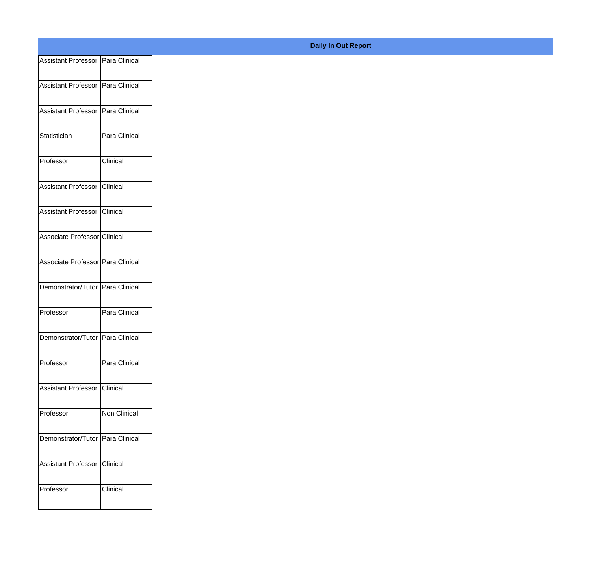| Assistant Professor   Para Clinical |               |
|-------------------------------------|---------------|
| Assistant Professor   Para Clinical |               |
|                                     |               |
| Assistant Professor Para Clinical   |               |
| Statistician                        | Para Clinical |
|                                     |               |
| Professor                           | Clinical      |
| Assistant Professor Clinical        |               |
| Assistant Professor Clinical        |               |
|                                     |               |
| Associate Professor Clinical        |               |
| Associate Professor Para Clinical   |               |
| Demonstrator/Tutor Para Clinical    |               |
|                                     |               |
| Professor                           | Para Clinical |
| Demonstrator/Tutor Para Clinical    |               |
| Professor                           | Para Clinical |
|                                     |               |
| Assistant Professor Clinical        |               |
| Professor                           | Non Clinical  |
|                                     |               |
| Demonstrator/Tutor Para Clinical    |               |
| Assistant Professor Clinical        |               |
| Professor                           | Clinical      |
|                                     |               |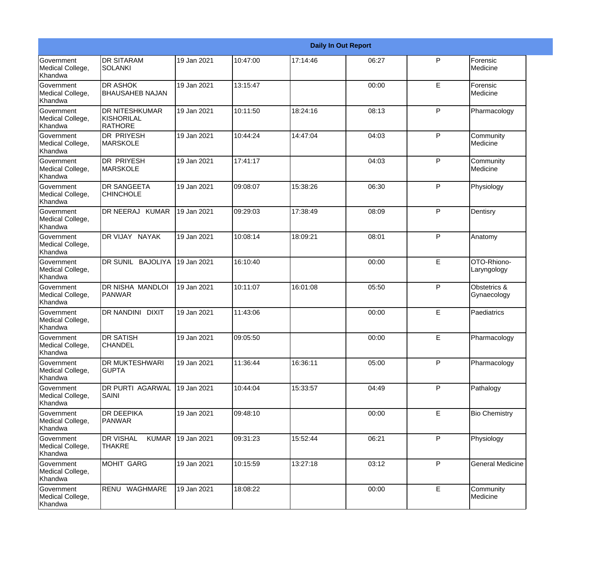|                                                  |                                                              |             |          |          | <b>Daily In Out Report</b> |              |                             |
|--------------------------------------------------|--------------------------------------------------------------|-------------|----------|----------|----------------------------|--------------|-----------------------------|
| <b>Government</b><br>Medical College,<br>Khandwa | <b>DR SITARAM</b><br><b>SOLANKI</b>                          | 19 Jan 2021 | 10:47:00 | 17:14:46 | 06:27                      | P            | Forensic<br>Medicine        |
| Government<br>Medical College,<br>Khandwa        | <b>DR ASHOK</b><br><b>BHAUSAHEB NAJAN</b>                    | 19 Jan 2021 | 13:15:47 |          | 00:00                      | E            | Forensic<br>Medicine        |
| <b>Government</b><br>Medical College,<br>Khandwa | <b>DR NITESHKUMAR</b><br><b>KISHORILAL</b><br><b>RATHORE</b> | 19 Jan 2021 | 10:11:50 | 18:24:16 | 08:13                      | $\mathsf{P}$ | Pharmacology                |
| Government<br>Medical College,<br>Khandwa        | DR PRIYESH<br><b>MARSKOLE</b>                                | 19 Jan 2021 | 10:44:24 | 14:47:04 | 04:03                      | $\mathsf{P}$ | Community<br>Medicine       |
| Government<br>Medical College,<br>Khandwa        | <b>DR PRIYESH</b><br><b>MARSKOLE</b>                         | 19 Jan 2021 | 17:41:17 |          | 04:03                      | $\mathsf{P}$ | Community<br>Medicine       |
| Government<br>Medical College,<br>Khandwa        | DR SANGEETA<br>ICHINCHOLE                                    | 19 Jan 2021 | 09:08:07 | 15:38:26 | 06:30                      | $\mathsf{P}$ | Physiology                  |
| <b>Government</b><br>Medical College,<br>Khandwa | DR NEERAJ KUMAR                                              | 19 Jan 2021 | 09:29:03 | 17:38:49 | 08:09                      | $\mathsf{P}$ | Dentisry                    |
| Government<br>Medical College,<br>Khandwa        | DR VIJAY NAYAK                                               | 19 Jan 2021 | 10:08:14 | 18:09:21 | 08:01                      | $\mathsf{P}$ | Anatomy                     |
| Government<br>Medical College,<br>Khandwa        | DR SUNIL BAJOLIYA                                            | 19 Jan 2021 | 16:10:40 |          | 00:00                      | E            | OTO-Rhiono-<br>Laryngology  |
| Government<br>Medical College,<br>Khandwa        | DR NISHA MANDLOI<br><b>PANWAR</b>                            | 19 Jan 2021 | 10:11:07 | 16:01:08 | 05:50                      | $\mathsf{P}$ | Obstetrics &<br>Gynaecology |
| <b>Government</b><br>Medical College,<br>Khandwa | <b>DR NANDINI</b><br><b>DIXIT</b>                            | 19 Jan 2021 | 11:43:06 |          | 00:00                      | E            | Paediatrics                 |
| Government<br>Medical College,<br>Khandwa        | <b>DR SATISH</b><br><b>CHANDEL</b>                           | 19 Jan 2021 | 09:05:50 |          | 00:00                      | E            | Pharmacology                |
| Government<br>Medical College,<br>Khandwa        | DR MUKTESHWARI<br><b>GUPTA</b>                               | 19 Jan 2021 | 11:36:44 | 16:36:11 | 05:00                      | P            | Pharmacology                |
| <b>Government</b><br>Medical College,<br>Khandwa | DR PURTI AGARWAL<br>SAINI                                    | 19 Jan 2021 | 10:44:04 | 15:33:57 | 04:49                      | P            | Pathalogy                   |
| Government<br>Medical College,<br>Khandwa        | <b>DR DEEPIKA</b><br><b>PANWAR</b>                           | 19 Jan 2021 | 09:48:10 |          | 00:00                      | E            | <b>Bio Chemistry</b>        |
| Government<br>Medical College,<br>Khandwa        | <b>DR VISHAL</b><br><b>KUMAR</b><br><b>THAKRE</b>            | 19 Jan 2021 | 09:31:23 | 15:52:44 | 06:21                      | $\mathsf{P}$ | Physiology                  |
| Government<br>Medical College,<br>Khandwa        | <b>MOHIT GARG</b>                                            | 19 Jan 2021 | 10:15:59 | 13:27:18 | 03:12                      | P            | <b>General Medicine</b>     |
| Government<br>Medical College,<br>Khandwa        | RENU WAGHMARE                                                | 19 Jan 2021 | 18:08:22 |          | 00:00                      | E            | Community<br>Medicine       |